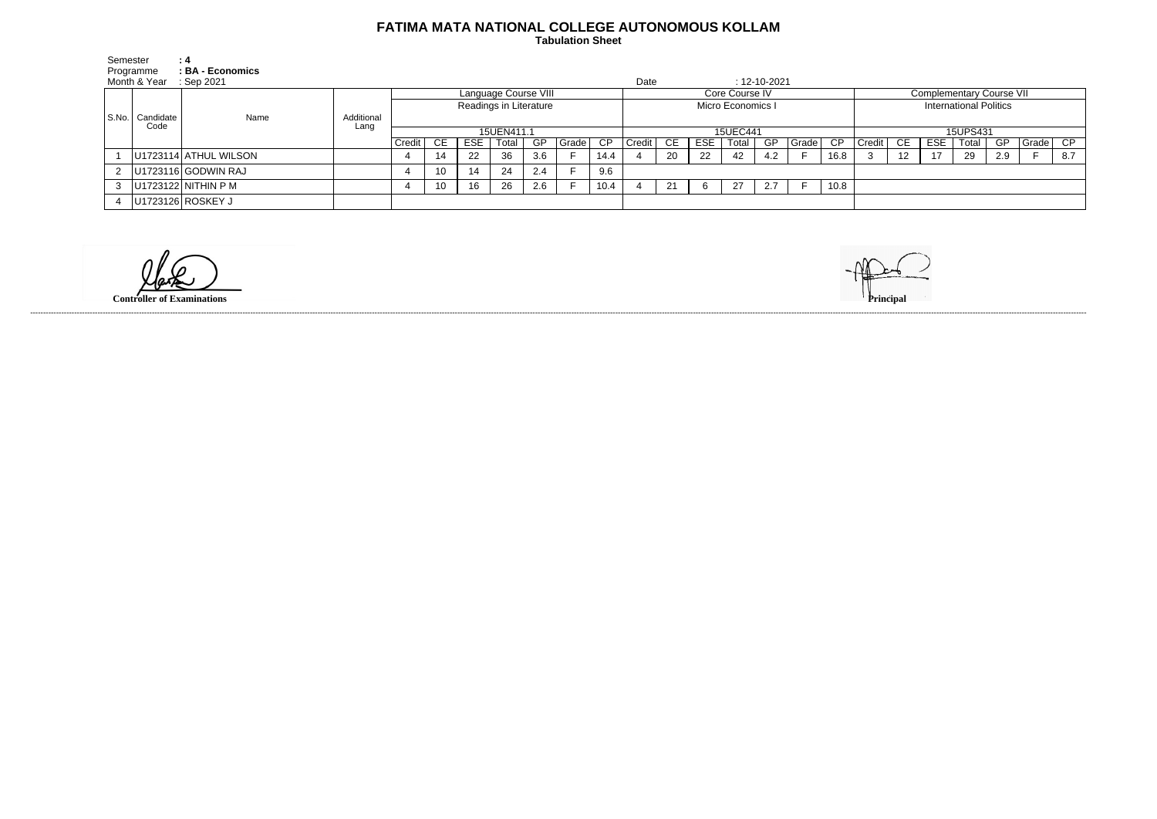## **FATIMA MATA NATIONAL COLLEGE AUTONOMOUS KOLLAM**

 **Tabulation Sheet** 

| Semester      |                   | $\therefore$ 4           |                    |                        |    |     |       |           |       |          |                            |    |     |       |     |                           |          |                                 |                 |            |       |     |       |     |
|---------------|-------------------|--------------------------|--------------------|------------------------|----|-----|-------|-----------|-------|----------|----------------------------|----|-----|-------|-----|---------------------------|----------|---------------------------------|-----------------|------------|-------|-----|-------|-----|
| Programme     |                   | : BA - Economics         |                    |                        |    |     |       |           |       |          |                            |    |     |       |     |                           |          |                                 |                 |            |       |     |       |     |
|               | Month & Year      | Sep 2021                 |                    |                        |    |     |       |           |       |          | Date<br>$: 12 - 10 - 2021$ |    |     |       |     |                           |          |                                 |                 |            |       |     |       |     |
| $ $ S.No. $ $ | Candidate<br>Code |                          | Additional<br>Lang | Language Course VIII   |    |     |       |           |       |          | Core Course IV             |    |     |       |     |                           |          | <b>Complementary Course VII</b> |                 |            |       |     |       |     |
|               |                   | Name                     |                    | Readings in Literature |    |     |       |           |       |          | Micro Economics I          |    |     |       |     |                           |          | <b>International Politics</b>   |                 |            |       |     |       |     |
|               |                   |                          |                    |                        |    |     |       |           |       |          |                            |    |     |       |     |                           |          |                                 |                 |            |       |     |       |     |
|               |                   |                          |                    | 15UEN411.1             |    |     |       |           |       | 15UEC441 |                            |    |     |       |     |                           | 15UPS431 |                                 |                 |            |       |     |       |     |
|               |                   |                          |                    | Credit   CE            |    | ESE | Total | <b>GP</b> | Grade | CP.      | Credit                     | CE | ESE | Total | GP. | $ Grade $ $\overline{CP}$ |          | <b>Credit</b>                   | - CE            | <b>ESE</b> | Total | GP  | Grade | CP  |
|               |                   | U1723114 ATHUL WILSON    |                    |                        |    | 22  | 36    | 3.6       |       | 14.4     |                            | 20 | 22  | 42    | 4.2 |                           | 16.8     |                                 | 12 <sup>2</sup> | 17         | 29    | 2.9 |       | 8.7 |
|               |                   | $ U1723116 $ GODWIN RAJ  |                    |                        | 10 | 14  | -24   | 2.4       |       | 9.6      |                            |    |     |       |     |                           |          |                                 |                 |            |       |     |       |     |
|               |                   | 3 $ U1723122 NITHIN P M$ |                    |                        | 10 | 16  | 26    | 2.6       |       | 10.4     |                            | 21 |     | 27    | 2.7 |                           | 10.8     |                                 |                 |            |       |     |       |     |
|               |                   | U1723126 ROSKEY J        |                    |                        |    |     |       |           |       |          |                            |    |     |       |     |                           |          |                                 |                 |            |       |     |       |     |

**Controller of Examinations** 



------------------------------------------------------------------------------------------------------------------------------------------------------------------------------------------------------------------------------------------------------------------------------------------------------------------------------------------------------------------------------------------------------------------------